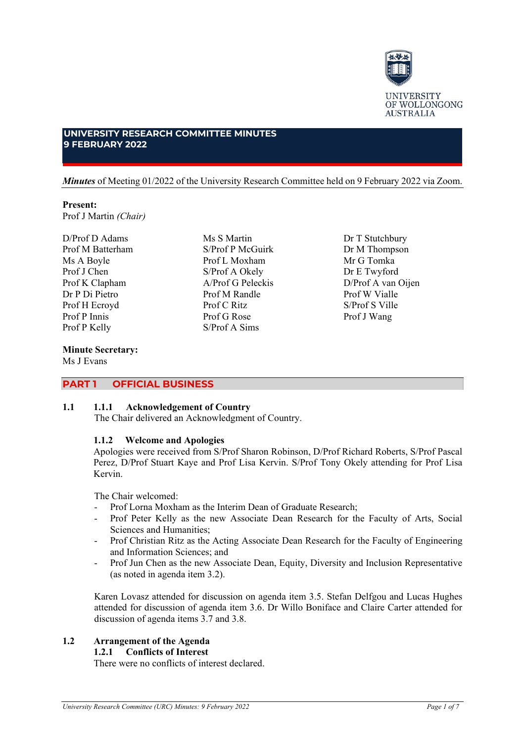

# **UNIVERSITY RESEARCH COMMITTEE MINUTES 9 FEBRUARY 2022**

*Minutes* of Meeting 01/2022 of the University Research Committee held on 9 February 2022 via Zoom.

Ms S Martin S/Prof P McGuirk Prof L Moxham S/Prof A Okely A/Prof G Peleckis Prof M Randle Prof C Ritz Prof G Rose S/Prof A Sims

# **Present:** Prof J Martin *(Chair)*

D/Prof D Adams Prof M Batterham Ms A Boyle Prof J Chen Prof K Clapham Dr P Di Pietro Prof H Ecroyd Prof P Innis Prof P Kelly

# **Minute Secretary:**

Ms J Evans

# **PART 1 OFFICIAL BUSINESS**

#### **1.1 1.1.1 Acknowledgement of Country**

The Chair delivered an Acknowledgment of Country.

#### **1.1.2 Welcome and Apologies**

Apologies were received from S/Prof Sharon Robinson, D/Prof Richard Roberts, S/Prof Pascal Perez, D/Prof Stuart Kaye and Prof Lisa Kervin. S/Prof Tony Okely attending for Prof Lisa Kervin.

The Chair welcomed:

- Prof Lorna Moxham as the Interim Dean of Graduate Research;
- Prof Peter Kelly as the new Associate Dean Research for the Faculty of Arts, Social Sciences and Humanities;
- Prof Christian Ritz as the Acting Associate Dean Research for the Faculty of Engineering and Information Sciences; and
- Prof Jun Chen as the new Associate Dean, Equity, Diversity and Inclusion Representative (as noted in agenda item 3.2).

Karen Lovasz attended for discussion on agenda item 3.5. Stefan Delfgou and Lucas Hughes attended for discussion of agenda item 3.6. Dr Willo Boniface and Claire Carter attended for discussion of agenda items 3.7 and 3.8.

#### **1.2 Arrangement of the Agenda 1.2.1 Conflicts of Interest**

There were no conflicts of interest declared.

Dr M Thompson Mr G Tomka Dr E Twyford D/Prof A van Oijen Prof W Vialle S/Prof S Ville Prof J Wang

Dr T Stutchbury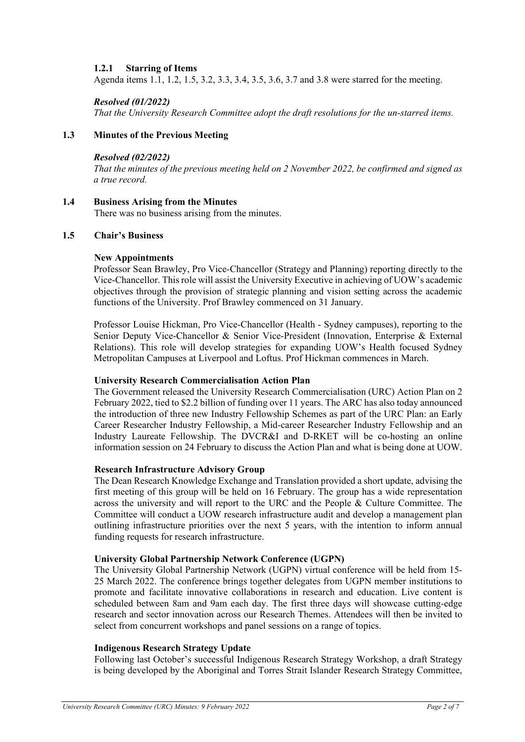# **1.2.1 Starring of Items**

Agenda items 1.1, 1.2, 1.5, 3.2, 3.3, 3.4, 3.5, 3.6, 3.7 and 3.8 were starred for the meeting.

# *Resolved (01/2022)*

*That the University Research Committee adopt the draft resolutions for the un-starred items.*

# **1.3 Minutes of the Previous Meeting**

### *Resolved (02/2022)*

*That the minutes of the previous meeting held on 2 November 2022, be confirmed and signed as a true record.*

# **1.4 Business Arising from the Minutes**

There was no business arising from the minutes.

#### **1.5 Chair's Business**

# **New Appointments**

Professor Sean Brawley, Pro Vice-Chancellor (Strategy and Planning) reporting directly to the Vice-Chancellor. This role will assist the University Executive in achieving of UOW's academic objectives through the provision of strategic planning and vision setting across the academic functions of the University. Prof Brawley commenced on 31 January.

Professor Louise Hickman, Pro Vice-Chancellor (Health - Sydney campuses), reporting to the Senior Deputy Vice-Chancellor & Senior Vice-President (Innovation, Enterprise & External Relations). This role will develop strategies for expanding UOW's Health focused Sydney Metropolitan Campuses at Liverpool and Loftus. Prof Hickman commences in March.

#### **University Research Commercialisation Action Plan**

The Government released the University Research Commercialisation (URC) Action Plan on 2 February 2022, tied to \$2.2 billion of funding over 11 years. The ARC has also today announced the introduction of three new Industry Fellowship Schemes as part of the URC Plan: an Early Career Researcher Industry Fellowship, a Mid-career Researcher Industry Fellowship and an Industry Laureate Fellowship. The DVCR&I and D-RKET will be co-hosting an online information session on 24 February to discuss the Action Plan and what is being done at UOW.

#### **Research Infrastructure Advisory Group**

The Dean Research Knowledge Exchange and Translation provided a short update, advising the first meeting of this group will be held on 16 February. The group has a wide representation across the university and will report to the URC and the People & Culture Committee. The Committee will conduct a UOW research infrastructure audit and develop a management plan outlining infrastructure priorities over the next 5 years, with the intention to inform annual funding requests for research infrastructure.

#### **University Global Partnership Network Conference (UGPN)**

The University Global Partnership Network (UGPN) virtual conference will be held from 15- 25 March 2022. The conference brings together delegates from UGPN member institutions to promote and facilitate innovative collaborations in research and education. Live content is scheduled between 8am and 9am each day. The first three days will showcase cutting-edge research and sector innovation across our Research Themes. Attendees will then be invited to select from concurrent workshops and panel sessions on a range of topics.

#### **Indigenous Research Strategy Update**

Following last October's successful Indigenous Research Strategy Workshop, a draft Strategy is being developed by the Aboriginal and Torres Strait Islander Research Strategy Committee,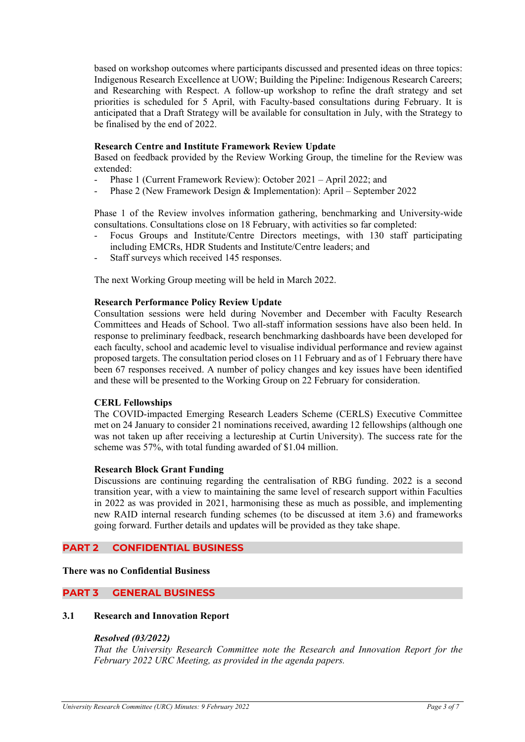based on workshop outcomes where participants discussed and presented ideas on three topics: Indigenous Research Excellence at UOW; Building the Pipeline: Indigenous Research Careers; and Researching with Respect. A follow-up workshop to refine the draft strategy and set priorities is scheduled for 5 April, with Faculty-based consultations during February. It is anticipated that a Draft Strategy will be available for consultation in July, with the Strategy to be finalised by the end of 2022.

### **Research Centre and Institute Framework Review Update**

Based on feedback provided by the Review Working Group, the timeline for the Review was extended:

- Phase 1 (Current Framework Review): October 2021 April 2022; and
- Phase 2 (New Framework Design & Implementation): April September 2022

Phase 1 of the Review involves information gathering, benchmarking and University-wide consultations. Consultations close on 18 February, with activities so far completed:

- Focus Groups and Institute/Centre Directors meetings, with 130 staff participating including EMCRs, HDR Students and Institute/Centre leaders; and
- Staff surveys which received 145 responses.

The next Working Group meeting will be held in March 2022.

#### **Research Performance Policy Review Update**

Consultation sessions were held during November and December with Faculty Research Committees and Heads of School. Two all-staff information sessions have also been held. In response to preliminary feedback, research benchmarking dashboards have been developed for each faculty, school and academic level to visualise individual performance and review against proposed targets. The consultation period closes on 11 February and as of 1 February there have been 67 responses received. A number of policy changes and key issues have been identified and these will be presented to the Working Group on 22 February for consideration.

#### **CERL Fellowships**

The COVID-impacted Emerging Research Leaders Scheme (CERLS) Executive Committee met on 24 January to consider 21 nominations received, awarding 12 fellowships (although one was not taken up after receiving a lectureship at Curtin University). The success rate for the scheme was 57%, with total funding awarded of \$1.04 million.

#### **Research Block Grant Funding**

Discussions are continuing regarding the centralisation of RBG funding. 2022 is a second transition year, with a view to maintaining the same level of research support within Faculties in 2022 as was provided in 2021, harmonising these as much as possible, and implementing new RAID internal research funding schemes (to be discussed at item 3.6) and frameworks going forward. Further details and updates will be provided as they take shape.

#### **PART 2 CONFIDENTIAL BUSINESS**

#### **There was no Confidential Business**

#### **PART 3 GENERAL BUSINESS**

#### **3.1 Research and Innovation Report**

#### *Resolved (03/2022)*

*That the University Research Committee note the Research and Innovation Report for the February 2022 URC Meeting, as provided in the agenda papers.*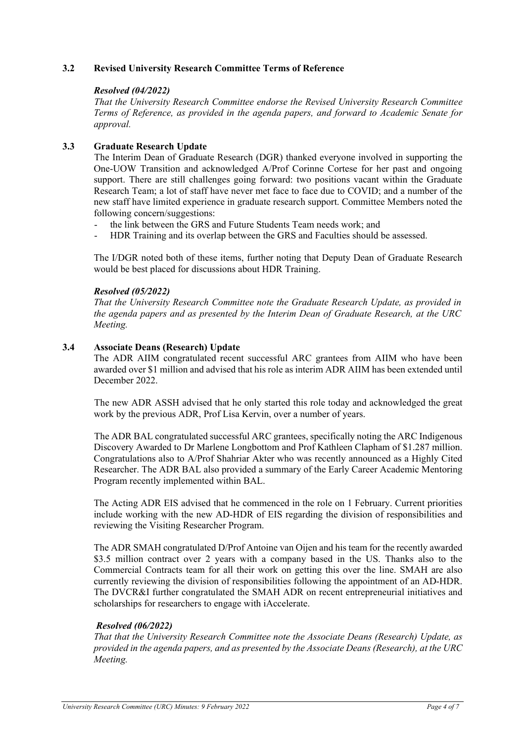# **3.2 Revised University Research Committee Terms of Reference**

#### *Resolved (04/2022)*

*That the University Research Committee endorse the Revised University Research Committee Terms of Reference, as provided in the agenda papers, and forward to Academic Senate for approval.*

# **3.3 Graduate Research Update**

The Interim Dean of Graduate Research (DGR) thanked everyone involved in supporting the One-UOW Transition and acknowledged A/Prof Corinne Cortese for her past and ongoing support. There are still challenges going forward: two positions vacant within the Graduate Research Team; a lot of staff have never met face to face due to COVID; and a number of the new staff have limited experience in graduate research support. Committee Members noted the following concern/suggestions:

- the link between the GRS and Future Students Team needs work; and
- HDR Training and its overlap between the GRS and Faculties should be assessed.

The I/DGR noted both of these items, further noting that Deputy Dean of Graduate Research would be best placed for discussions about HDR Training.

# *Resolved (05/2022)*

*That the University Research Committee note the Graduate Research Update, as provided in the agenda papers and as presented by the Interim Dean of Graduate Research, at the URC Meeting.*

# **3.4 Associate Deans (Research) Update**

The ADR AIIM congratulated recent successful ARC grantees from AIIM who have been awarded over \$1 million and advised that his role as interim ADR AIIM has been extended until December 2022.

The new ADR ASSH advised that he only started this role today and acknowledged the great work by the previous ADR, Prof Lisa Kervin, over a number of years.

The ADR BAL congratulated successful ARC grantees, specifically noting the ARC Indigenous Discovery Awarded to Dr Marlene Longbottom and Prof Kathleen Clapham of \$1.287 million. Congratulations also to A/Prof Shahriar Akter who was recently announced as a Highly Cited Researcher. The ADR BAL also provided a summary of the Early Career Academic Mentoring Program recently implemented within BAL.

The Acting ADR EIS advised that he commenced in the role on 1 February. Current priorities include working with the new AD-HDR of EIS regarding the division of responsibilities and reviewing the Visiting Researcher Program.

The ADR SMAH congratulated D/Prof Antoine van Oijen and his team for the recently awarded \$3.5 million contract over 2 years with a company based in the US. Thanks also to the Commercial Contracts team for all their work on getting this over the line. SMAH are also currently reviewing the division of responsibilities following the appointment of an AD-HDR. The DVCR&I further congratulated the SMAH ADR on recent entrepreneurial initiatives and scholarships for researchers to engage with iAccelerate.

#### *Resolved (06/2022)*

*That that the University Research Committee note the Associate Deans (Research) Update, as provided in the agenda papers, and as presented by the Associate Deans (Research), at the URC Meeting.*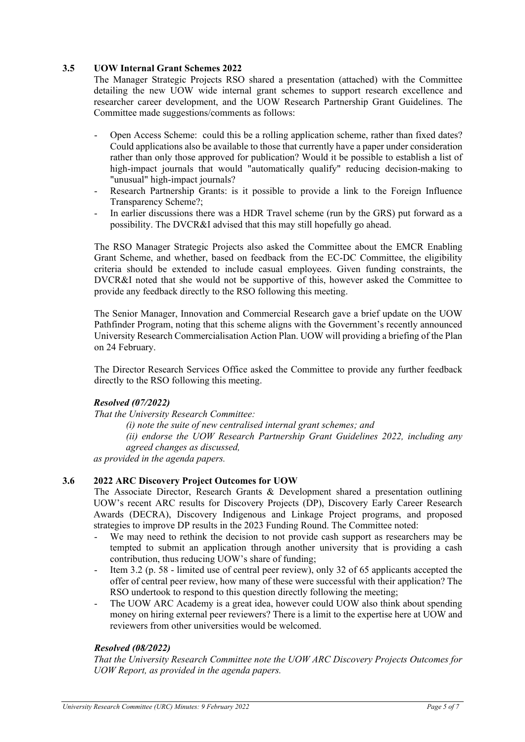# **3.5 UOW Internal Grant Schemes 2022**

The Manager Strategic Projects RSO shared a presentation (attached) with the Committee detailing the new UOW wide internal grant schemes to support research excellence and researcher career development, and the UOW Research Partnership Grant Guidelines. The Committee made suggestions/comments as follows:

- Open Access Scheme: could this be a rolling application scheme, rather than fixed dates? Could applications also be available to those that currently have a paper under consideration rather than only those approved for publication? Would it be possible to establish a list of high-impact journals that would "automatically qualify" reducing decision-making to "unusual" high-impact journals?
- Research Partnership Grants: is it possible to provide a link to the Foreign Influence Transparency Scheme?;
- In earlier discussions there was a HDR Travel scheme (run by the GRS) put forward as a possibility. The DVCR&I advised that this may still hopefully go ahead.

The RSO Manager Strategic Projects also asked the Committee about the EMCR Enabling Grant Scheme, and whether, based on feedback from the EC-DC Committee, the eligibility criteria should be extended to include casual employees. Given funding constraints, the DVCR&I noted that she would not be supportive of this, however asked the Committee to provide any feedback directly to the RSO following this meeting.

The Senior Manager, Innovation and Commercial Research gave a brief update on the UOW Pathfinder Program, noting that this scheme aligns with the Government's recently announced University Research Commercialisation Action Plan. UOW will providing a briefing of the Plan on 24 February.

The Director Research Services Office asked the Committee to provide any further feedback directly to the RSO following this meeting.

#### *Resolved (07/2022)*

*That the University Research Committee:* 

*(i) note the suite of new centralised internal grant schemes; and (ii) endorse the UOW Research Partnership Grant Guidelines 2022, including any agreed changes as discussed, as provided in the agenda papers.* 

#### **3.6 2022 ARC Discovery Project Outcomes for UOW**

The Associate Director, Research Grants & Development shared a presentation outlining UOW's recent ARC results for Discovery Projects (DP), Discovery Early Career Research Awards (DECRA), Discovery Indigenous and Linkage Project programs, and proposed strategies to improve DP results in the 2023 Funding Round. The Committee noted:

- We may need to rethink the decision to not provide cash support as researchers may be tempted to submit an application through another university that is providing a cash contribution, thus reducing UOW's share of funding;
- Item 3.2 (p. 58 limited use of central peer review), only 32 of 65 applicants accepted the offer of central peer review, how many of these were successful with their application? The RSO undertook to respond to this question directly following the meeting;
- The UOW ARC Academy is a great idea, however could UOW also think about spending money on hiring external peer reviewers? There is a limit to the expertise here at UOW and reviewers from other universities would be welcomed.

#### *Resolved (08/2022)*

*That the University Research Committee note the UOW ARC Discovery Projects Outcomes for UOW Report, as provided in the agenda papers.*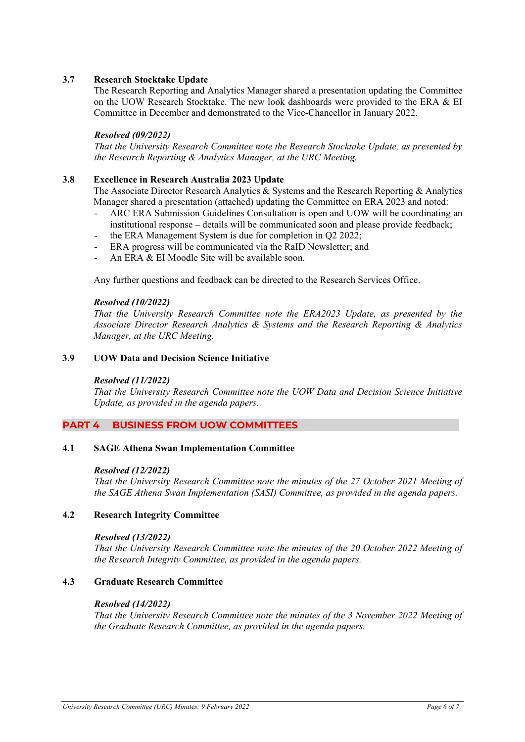# **3.7 Research Stocktake Update**

The Research Reporting and Analytics Manager shared a presentation updating the Committee on the UOW Research Stocktake. The new look dashboards were provided to the ERA & EI Committee in December and demonstrated to the Vice-Chancellor in January 2022.

### *Resolved (09/2022)*

*That the University Research Committee note the Research Stocktake Update, as presented by the Research Reporting & Analytics Manager, at the URC Meeting.*

#### **3.8 Excellence in Research Australia 2023 Update**

The Associate Director Research Analytics & Systems and the Research Reporting & Analytics Manager shared a presentation (attached) updating the Committee on ERA 2023 and noted:

- ARC ERA Submission Guidelines Consultation is open and UOW will be coordinating an institutional response – details will be communicated soon and please provide feedback;
- the ERA Management System is due for completion in Q2 2022;
- ERA progress will be communicated via the RaID Newsletter; and
- An ERA & EI Moodle Site will be available soon.

Any further questions and feedback can be directed to the Research Services Office.

#### *Resolved (10/2022)*

*That the University Research Committee note the ERA2023 Update, as presented by the Associate Director Research Analytics & Systems and the Research Reporting & Analytics Manager, at the URC Meeting.*

# **3.9 UOW Data and Decision Science Initiative**

#### *Resolved (11/2022)*

*That the University Research Committee note the UOW Data and Decision Science Initiative Update, as provided in the agenda papers.* 

#### **PART 4 BUSINESS FROM UOW COMMITTEES**

#### **4.1 SAGE Athena Swan Implementation Committee**

#### *Resolved (12/2022)*

*That the University Research Committee note the minutes of the 27 October 2021 Meeting of the SAGE Athena Swan Implementation (SASI) Committee, as provided in the agenda papers.*

# **4.2 Research Integrity Committee**

#### *Resolved (13/2022)*

*That the University Research Committee note the minutes of the 20 October 2022 Meeting of the Research Integrity Committee, as provided in the agenda papers.*

#### **4.3 Graduate Research Committee**

#### *Resolved (14/2022)*

*That the University Research Committee note the minutes of the 3 November 2022 Meeting of the Graduate Research Committee, as provided in the agenda papers.*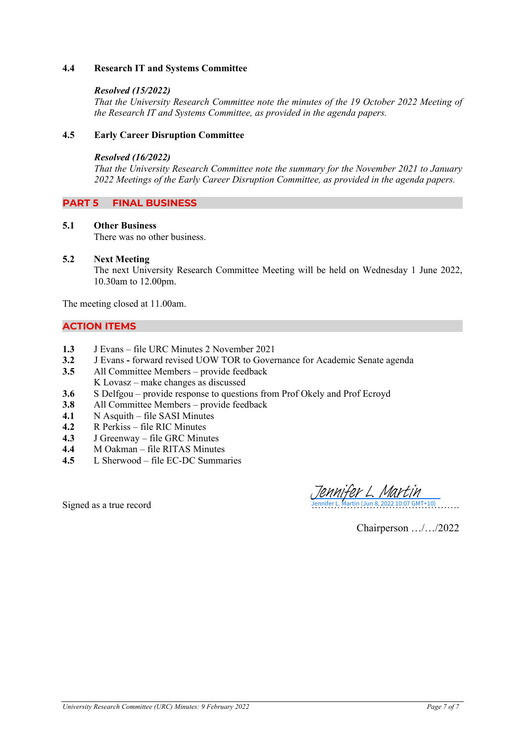# **4.4 Research IT and Systems Committee**

#### *Resolved (15/2022)*

*That the University Research Committee note the minutes of the 19 October 2022 Meeting of the Research IT and Systems Committee, as provided in the agenda papers.* 

#### **4.5 Early Career Disruption Committee**

#### *Resolved (16/2022)*

*That the University Research Committee note the summary for the November 2021 to January 2022 Meetings of the Early Career Disruption Committee, as provided in the agenda papers.* 

# **PART 5 FINAL BUSINESS**

#### **5.1 Other Business**

There was no other business.

#### **5.2 Next Meeting**

The next University Research Committee Meeting will be held on Wednesday 1 June 2022, 10.30am to 12.00pm.

The meeting closed at 11.00am.

# **ACTION ITEMS**

- **1.3** J Evans file URC Minutes 2 November 2021
- **3.2** J Evansforward revised UOW TOR to Governance for Academic Senate agenda
- **3.5** All Committee Members provide feedback
- K Lovasz make changes as discussed
- **3.6** S Delfgou provide response to questions from Prof Okely and Prof Ecroyd<br>**3.8** All Committee Members provide feedback
- **3.8** All Committee Members provide feedback
- **4.1** N Asquith file SASI Minutes
- **4.2** R Perkiss file RIC Minutes
- **4.3** J Greenway file GRC Minutes<br>**4.4** M Oakman file RITAS Minute
- **4.4** M Oakman file RITAS Minutes
- **4.5** L Sherwood file EC-DC Summaries

Jennifer L. Martin (Jun 8, 2022 10:07 GMT+10) ennifer L. Martin

Signed as a true record

Chairperson …/…/2022